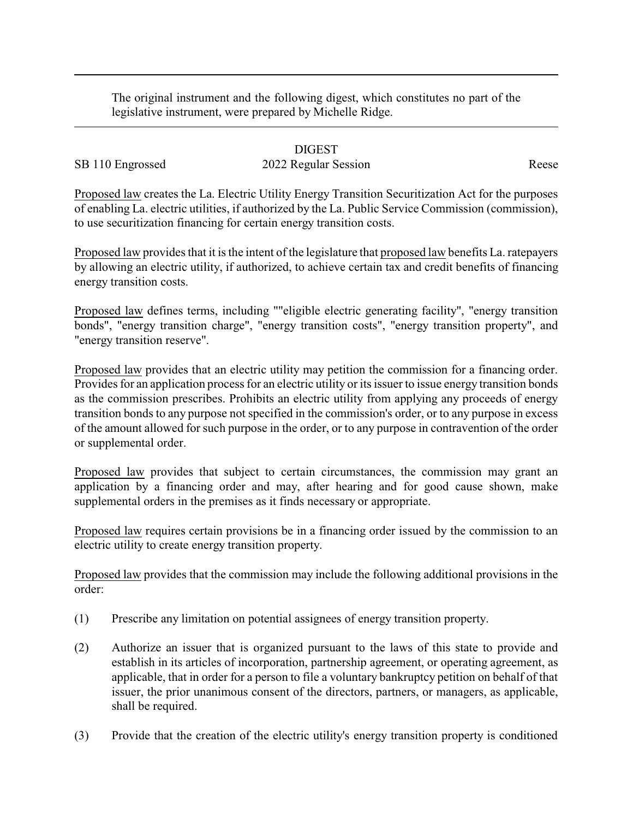The original instrument and the following digest, which constitutes no part of the legislative instrument, were prepared by Michelle Ridge.

## DIGEST

## SB 110 Engrossed 2022 Regular Session Reese

Proposed law creates the La. Electric Utility Energy Transition Securitization Act for the purposes of enabling La. electric utilities, if authorized by the La. Public Service Commission (commission), to use securitization financing for certain energy transition costs.

Proposed law provides that it is the intent of the legislature that proposed law benefits La. ratepayers by allowing an electric utility, if authorized, to achieve certain tax and credit benefits of financing energy transition costs.

Proposed law defines terms, including ""eligible electric generating facility", "energy transition bonds", "energy transition charge", "energy transition costs", "energy transition property", and "energy transition reserve".

Proposed law provides that an electric utility may petition the commission for a financing order. Provides for an application process for an electric utility or its issuer to issue energy transition bonds as the commission prescribes. Prohibits an electric utility from applying any proceeds of energy transition bonds to any purpose not specified in the commission's order, or to any purpose in excess of the amount allowed for such purpose in the order, or to any purpose in contravention of the order or supplemental order.

Proposed law provides that subject to certain circumstances, the commission may grant an application by a financing order and may, after hearing and for good cause shown, make supplemental orders in the premises as it finds necessary or appropriate.

Proposed law requires certain provisions be in a financing order issued by the commission to an electric utility to create energy transition property.

Proposed law provides that the commission may include the following additional provisions in the order:

- (1) Prescribe any limitation on potential assignees of energy transition property.
- (2) Authorize an issuer that is organized pursuant to the laws of this state to provide and establish in its articles of incorporation, partnership agreement, or operating agreement, as applicable, that in order for a person to file a voluntary bankruptcy petition on behalf of that issuer, the prior unanimous consent of the directors, partners, or managers, as applicable, shall be required.
- (3) Provide that the creation of the electric utility's energy transition property is conditioned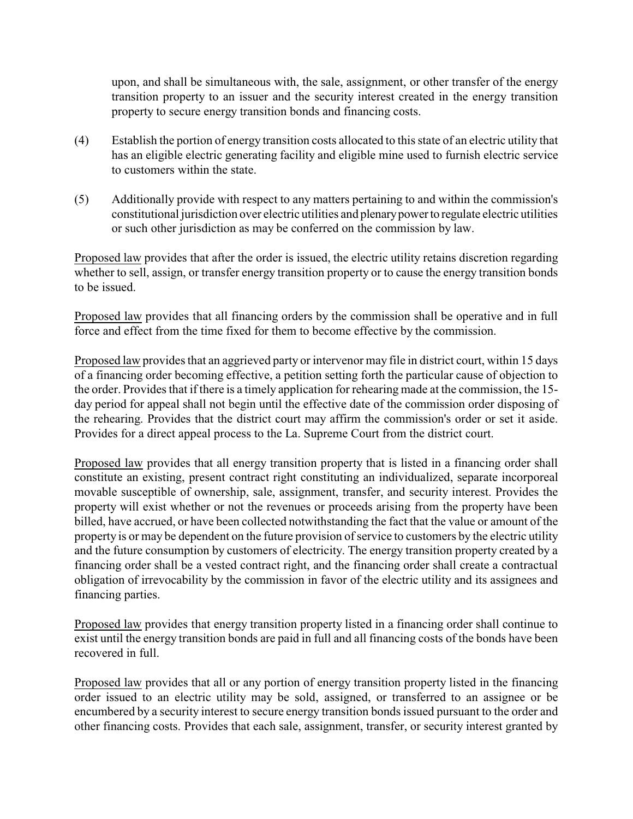upon, and shall be simultaneous with, the sale, assignment, or other transfer of the energy transition property to an issuer and the security interest created in the energy transition property to secure energy transition bonds and financing costs.

- (4) Establish the portion of energy transition costs allocated to this state of an electric utility that has an eligible electric generating facility and eligible mine used to furnish electric service to customers within the state.
- (5) Additionally provide with respect to any matters pertaining to and within the commission's constitutional jurisdiction over electric utilities and plenarypowerto regulate electric utilities or such other jurisdiction as may be conferred on the commission by law.

Proposed law provides that after the order is issued, the electric utility retains discretion regarding whether to sell, assign, or transfer energy transition property or to cause the energy transition bonds to be issued.

Proposed law provides that all financing orders by the commission shall be operative and in full force and effect from the time fixed for them to become effective by the commission.

Proposed law provides that an aggrieved party or intervenor may file in district court, within 15 days of a financing order becoming effective, a petition setting forth the particular cause of objection to the order. Provides that if there is a timely application for rehearing made at the commission, the 15 day period for appeal shall not begin until the effective date of the commission order disposing of the rehearing. Provides that the district court may affirm the commission's order or set it aside. Provides for a direct appeal process to the La. Supreme Court from the district court.

Proposed law provides that all energy transition property that is listed in a financing order shall constitute an existing, present contract right constituting an individualized, separate incorporeal movable susceptible of ownership, sale, assignment, transfer, and security interest. Provides the property will exist whether or not the revenues or proceeds arising from the property have been billed, have accrued, or have been collected notwithstanding the fact that the value or amount of the property is or may be dependent on the future provision of service to customers by the electric utility and the future consumption by customers of electricity. The energy transition property created by a financing order shall be a vested contract right, and the financing order shall create a contractual obligation of irrevocability by the commission in favor of the electric utility and its assignees and financing parties.

Proposed law provides that energy transition property listed in a financing order shall continue to exist until the energy transition bonds are paid in full and all financing costs of the bonds have been recovered in full.

Proposed law provides that all or any portion of energy transition property listed in the financing order issued to an electric utility may be sold, assigned, or transferred to an assignee or be encumbered by a security interest to secure energy transition bonds issued pursuant to the order and other financing costs. Provides that each sale, assignment, transfer, or security interest granted by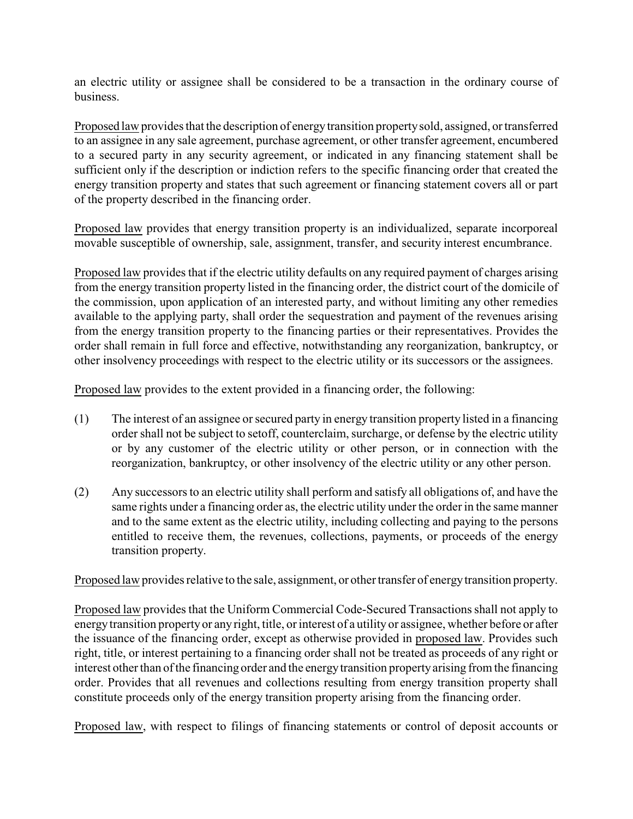an electric utility or assignee shall be considered to be a transaction in the ordinary course of business.

Proposed law provides that the description of energytransition propertysold, assigned, or transferred to an assignee in any sale agreement, purchase agreement, or other transfer agreement, encumbered to a secured party in any security agreement, or indicated in any financing statement shall be sufficient only if the description or indiction refers to the specific financing order that created the energy transition property and states that such agreement or financing statement covers all or part of the property described in the financing order.

Proposed law provides that energy transition property is an individualized, separate incorporeal movable susceptible of ownership, sale, assignment, transfer, and security interest encumbrance.

Proposed law provides that if the electric utility defaults on any required payment of charges arising from the energy transition property listed in the financing order, the district court of the domicile of the commission, upon application of an interested party, and without limiting any other remedies available to the applying party, shall order the sequestration and payment of the revenues arising from the energy transition property to the financing parties or their representatives. Provides the order shall remain in full force and effective, notwithstanding any reorganization, bankruptcy, or other insolvency proceedings with respect to the electric utility or its successors or the assignees.

Proposed law provides to the extent provided in a financing order, the following:

- (1) The interest of an assignee or secured party in energy transition property listed in a financing order shall not be subject to setoff, counterclaim, surcharge, or defense by the electric utility or by any customer of the electric utility or other person, or in connection with the reorganization, bankruptcy, or other insolvency of the electric utility or any other person.
- (2) Any successors to an electric utility shall perform and satisfy all obligations of, and have the same rights under a financing order as, the electric utility under the order in the same manner and to the same extent as the electric utility, including collecting and paying to the persons entitled to receive them, the revenues, collections, payments, or proceeds of the energy transition property.

Proposed law provides relative to the sale, assignment, or other transfer of energytransition property.

Proposed law provides that the Uniform Commercial Code-Secured Transactions shall not apply to energy transition propertyor any right, title, or interest of a utility or assignee, whether before or after the issuance of the financing order, except as otherwise provided in proposed law. Provides such right, title, or interest pertaining to a financing order shall not be treated as proceeds of any right or interest other than of the financing order and the energytransition propertyarising from the financing order. Provides that all revenues and collections resulting from energy transition property shall constitute proceeds only of the energy transition property arising from the financing order.

Proposed law, with respect to filings of financing statements or control of deposit accounts or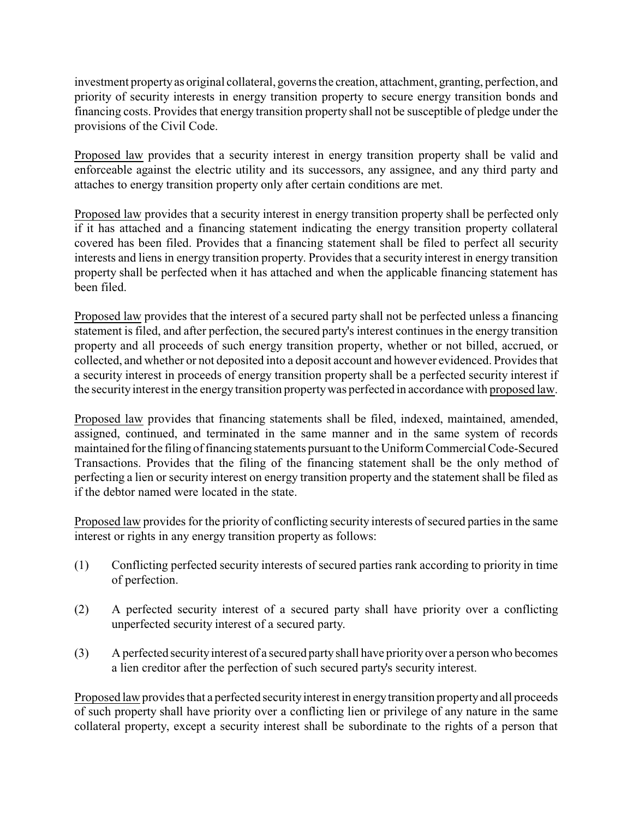investment propertyas original collateral, governs the creation, attachment, granting, perfection, and priority of security interests in energy transition property to secure energy transition bonds and financing costs. Provides that energy transition property shall not be susceptible of pledge under the provisions of the Civil Code.

Proposed law provides that a security interest in energy transition property shall be valid and enforceable against the electric utility and its successors, any assignee, and any third party and attaches to energy transition property only after certain conditions are met.

Proposed law provides that a security interest in energy transition property shall be perfected only if it has attached and a financing statement indicating the energy transition property collateral covered has been filed. Provides that a financing statement shall be filed to perfect all security interests and liens in energy transition property. Provides that a security interest in energy transition property shall be perfected when it has attached and when the applicable financing statement has been filed.

Proposed law provides that the interest of a secured party shall not be perfected unless a financing statement is filed, and after perfection, the secured party's interest continues in the energy transition property and all proceeds of such energy transition property, whether or not billed, accrued, or collected, and whether or not deposited into a deposit account and however evidenced. Provides that a security interest in proceeds of energy transition property shall be a perfected security interest if the security interest in the energy transition property was perfected in accordance with proposed law.

Proposed law provides that financing statements shall be filed, indexed, maintained, amended, assigned, continued, and terminated in the same manner and in the same system of records maintained for the filing of financing statements pursuant to the Uniform Commercial Code-Secured Transactions. Provides that the filing of the financing statement shall be the only method of perfecting a lien or security interest on energy transition property and the statement shall be filed as if the debtor named were located in the state.

Proposed law provides for the priority of conflicting security interests of secured parties in the same interest or rights in any energy transition property as follows:

- (1) Conflicting perfected security interests of secured parties rank according to priority in time of perfection.
- (2) A perfected security interest of a secured party shall have priority over a conflicting unperfected security interest of a secured party.
- (3) A perfected securityinterest of a secured party shall have priority over a person who becomes a lien creditor after the perfection of such secured party's security interest.

Proposed law provides that a perfected security interest in energy transition property and all proceeds of such property shall have priority over a conflicting lien or privilege of any nature in the same collateral property, except a security interest shall be subordinate to the rights of a person that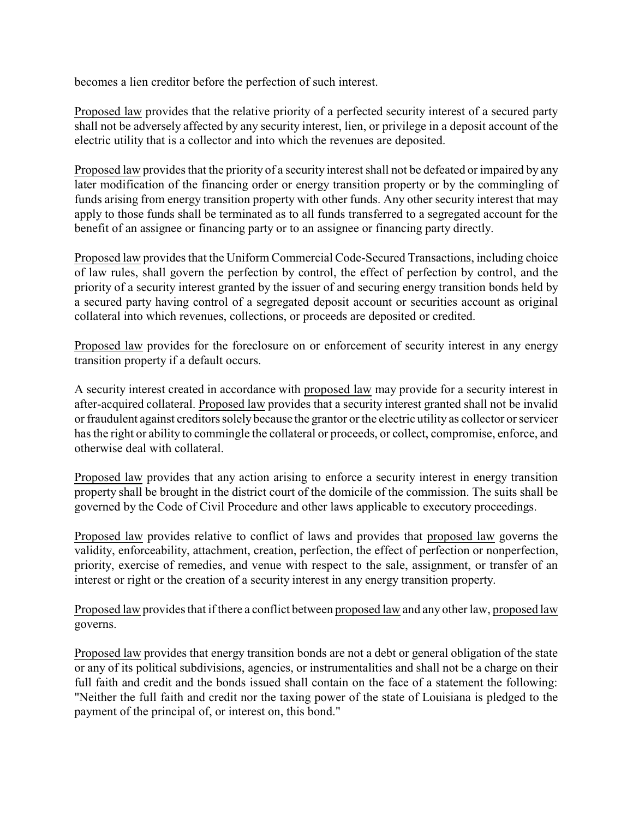becomes a lien creditor before the perfection of such interest.

Proposed law provides that the relative priority of a perfected security interest of a secured party shall not be adversely affected by any security interest, lien, or privilege in a deposit account of the electric utility that is a collector and into which the revenues are deposited.

Proposed law provides that the priority of a security interest shall not be defeated or impaired by any later modification of the financing order or energy transition property or by the commingling of funds arising from energy transition property with other funds. Any other security interest that may apply to those funds shall be terminated as to all funds transferred to a segregated account for the benefit of an assignee or financing party or to an assignee or financing party directly.

Proposed law provides that the Uniform Commercial Code-Secured Transactions, including choice of law rules, shall govern the perfection by control, the effect of perfection by control, and the priority of a security interest granted by the issuer of and securing energy transition bonds held by a secured party having control of a segregated deposit account or securities account as original collateral into which revenues, collections, or proceeds are deposited or credited.

Proposed law provides for the foreclosure on or enforcement of security interest in any energy transition property if a default occurs.

A security interest created in accordance with proposed law may provide for a security interest in after-acquired collateral. Proposed law provides that a security interest granted shall not be invalid or fraudulent against creditors solely because the grantor or the electric utility as collector or servicer has the right or ability to commingle the collateral or proceeds, or collect, compromise, enforce, and otherwise deal with collateral.

Proposed law provides that any action arising to enforce a security interest in energy transition property shall be brought in the district court of the domicile of the commission. The suits shall be governed by the Code of Civil Procedure and other laws applicable to executory proceedings.

Proposed law provides relative to conflict of laws and provides that proposed law governs the validity, enforceability, attachment, creation, perfection, the effect of perfection or nonperfection, priority, exercise of remedies, and venue with respect to the sale, assignment, or transfer of an interest or right or the creation of a security interest in any energy transition property.

Proposed law provides that if there a conflict between proposed law and any other law, proposed law governs.

Proposed law provides that energy transition bonds are not a debt or general obligation of the state or any of its political subdivisions, agencies, or instrumentalities and shall not be a charge on their full faith and credit and the bonds issued shall contain on the face of a statement the following: "Neither the full faith and credit nor the taxing power of the state of Louisiana is pledged to the payment of the principal of, or interest on, this bond."